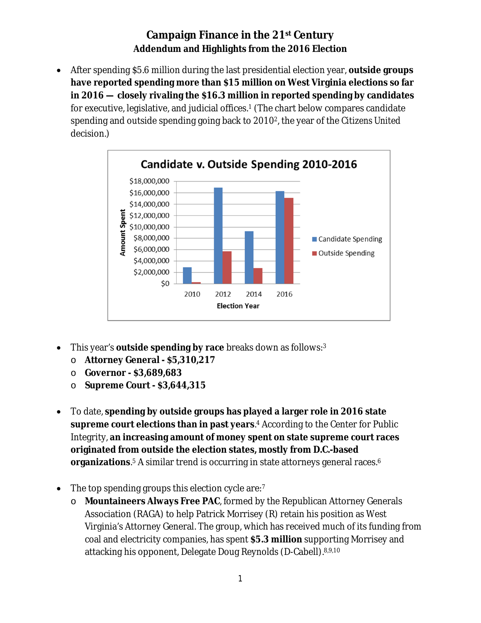## **Campaign Finance in the 21st Century Addendum and Highlights from the 2016 Election**

 After spending \$5.6 million during the last presidential election year, **outside groups have reported spending more than \$15 million on West Virginia elections so far in 2016 — closely rivaling the \$16.3 million in reported spending by candidates** for executive, legislative, and judicial offices.<sup>1</sup> (The chart below compares candidate spending and outside spending going back to 20102, the year of the *Citizens United* decision.)



- This year's **outside spending by race** breaks down as follows:<sup>3</sup>
	- o **Attorney General - \$5,310,217**
	- o **Governor - \$3,689,683**
	- o **Supreme Court - \$3,644,315**
- To date, **spending by outside groups has played a larger role in 2016 state supreme court elections than in past years**. <sup>4</sup> According to the Center for Public Integrity, **an increasing amount of money spent on state supreme court races originated from outside the election states, mostly from D.C.-based organizations**.<sup>5</sup> A similar trend is occurring in state attorneys general races.<sup>6</sup>
- The top spending groups this election cycle are:<sup>7</sup>
	- o **Mountaineers Always Free PAC**, formed by the Republican Attorney Generals Association (RAGA) to help Patrick Morrisey (R) retain his position as West Virginia's Attorney General. The group, which has received much of its funding from coal and electricity companies, has spent **\$5.3 million** supporting Morrisey and attacking his opponent, Delegate Doug Reynolds (D-Cabell).8,9,10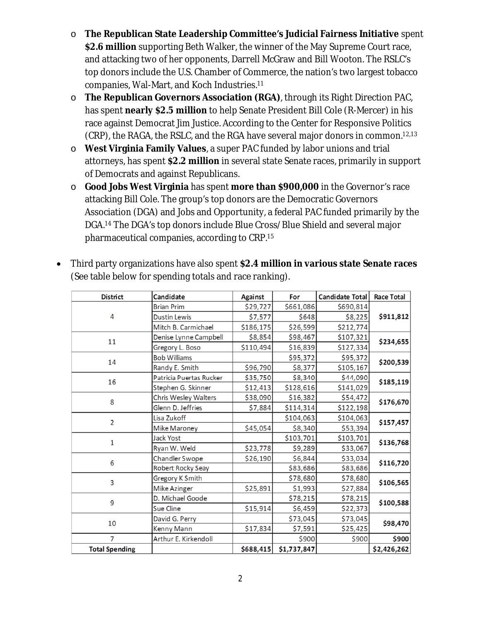- o **The Republican State Leadership Committee's Judicial Fairness Initiative** spent **\$2.6 million** supporting Beth Walker, the winner of the May Supreme Court race, and attacking two of her opponents, Darrell McGraw and Bill Wooton. The RSLC's top donors include the U.S. Chamber of Commerce, the nation's two largest tobacco companies, Wal-Mart, and Koch Industries.<sup>11</sup>
- o **The Republican Governors Association (RGA)**, through its Right Direction PAC, has spent **nearly \$2.5 million** to help Senate President Bill Cole (R-Mercer) in his race against Democrat Jim Justice. According to the Center for Responsive Politics (CRP), the RAGA, the RSLC, and the RGA have several major donors in common.12,13
- o **West Virginia Family Values**, a super PAC funded by labor unions and trial attorneys, has spent **\$2.2 million** in several state Senate races, primarily in support of Democrats and against Republicans.
- o **Good Jobs West Virginia** has spent **more than \$900,000** in the Governor's race attacking Bill Cole. The group's top donors are the Democratic Governors Association (DGA) and Jobs and Opportunity, a federal PAC funded primarily by the DGA.<sup>14</sup> The DGA's top donors include Blue Cross/Blue Shield and several major pharmaceutical companies, according to CRP.<sup>15</sup>

| District              | Candidate               | Against   | For         | Candidate Total | <b>Race Total</b> |
|-----------------------|-------------------------|-----------|-------------|-----------------|-------------------|
| 4                     | <b>Brian Prim</b>       | \$29,727  | \$661,086   | \$690,814       | \$911,812         |
|                       | Dustin Lewis            | \$7,577   | \$648       | \$8,225         |                   |
|                       | Mitch B. Carmichael     | \$186,175 | \$26,599    | \$212,774       |                   |
| 11                    | Denise Lynne Campbell   | \$8,854   | \$98,467    | \$107,321       | \$234,655         |
|                       | Gregory L. Boso         | \$110,494 | \$16,839    | \$127,334       |                   |
| 14                    | <b>Bob Williams</b>     |           | \$95,372    | \$95,372        | \$200,539         |
|                       | Randy E. Smith          | \$96,790  | \$8,377     | \$105,167       |                   |
| 16                    | Patricia Puertas Rucker | \$35,750  | \$8,340     | \$44,090        | \$185,119         |
|                       | Stephen G. Skinner      | \$12,413  | \$128,616   | \$141,029       |                   |
| 8                     | Chris Wesley Walters    | \$38,090  | \$16,382    | \$54,472        | \$176,670         |
|                       | Glenn D. Jeffries       | \$7,884   | \$114,314   | \$122,198       |                   |
| $\overline{2}$        | Lisa Zukoff             |           | \$104,063   | \$104,063       | \$157,457         |
|                       | Mike Maroney            | \$45,054  | \$8,340     | \$53,394        |                   |
| $\mathbf{1}$          | Jack Yost               |           | \$103,701   | \$103,701       | \$136,768         |
|                       | Ryan W. Weld            | \$23,778  | \$9,289     | \$33,067        |                   |
| 6                     | Chandler Swope          | \$26,190  | \$6,844     | \$33,034        | \$116,720         |
|                       | Robert Rocky Seay       |           | \$83,686    | \$83,686        |                   |
| 3                     | Gregory K Smith         |           | \$78,680    | \$78,680        | \$106,565         |
|                       | Mike Azinger            | \$25,891  | \$1,993     | \$27,884        |                   |
| 9                     | D. Michael Goode        |           | \$78,215    | \$78,215        | \$100,588         |
|                       | Sue Cline               | \$15,914  | \$6,459     | \$22,373        |                   |
| 10                    | David G. Perry          |           | \$73,045    | \$73,045        | \$98,470          |
|                       | Kenny Mann              | \$17,834  | \$7,591     | \$25,425        |                   |
| 7                     | Arthur E. Kirkendoll    |           | \$900       | \$900           | \$900             |
| <b>Total Spending</b> |                         | \$688,415 | \$1,737,847 |                 | \$2,426,262       |

 Third party organizations have also spent **\$2.4 million in various state Senate races** (See table below for spending totals and race ranking).